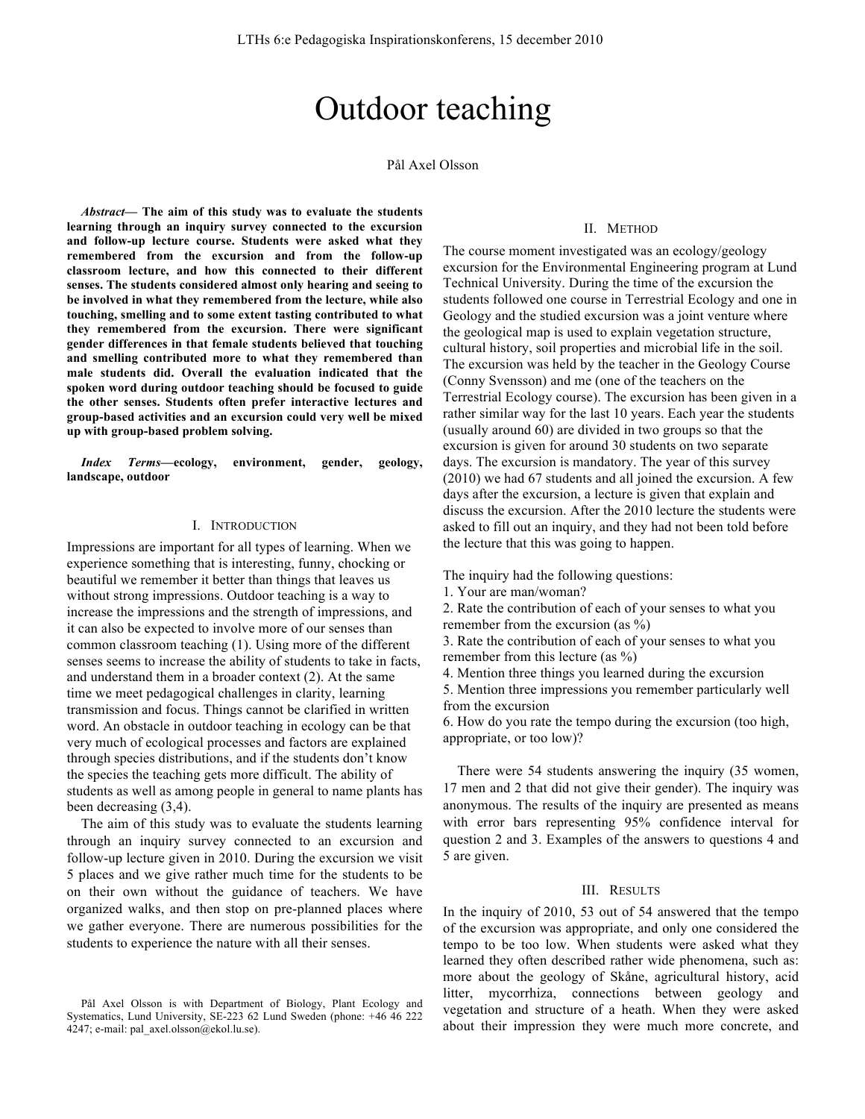# Outdoor teaching

Pål Axel Olsson

*Abstract***— The aim of this study was to evaluate the students learning through an inquiry survey connected to the excursion and follow-up lecture course. Students were asked what they remembered from the excursion and from the follow-up classroom lecture, and how this connected to their different senses. The students considered almost only hearing and seeing to be involved in what they remembered from the lecture, while also touching, smelling and to some extent tasting contributed to what they remembered from the excursion. There were significant gender differences in that female students believed that touching and smelling contributed more to what they remembered than male students did. Overall the evaluation indicated that the spoken word during outdoor teaching should be focused to guide the other senses. Students often prefer interactive lectures and group-based activities and an excursion could very well be mixed up with group-based problem solving.**

*Index Terms***—ecology, environment, gender, geology, landscape, outdoor**

#### I. INTRODUCTION

Impressions are important for all types of learning. When we experience something that is interesting, funny, chocking or beautiful we remember it better than things that leaves us without strong impressions. Outdoor teaching is a way to increase the impressions and the strength of impressions, and it can also be expected to involve more of our senses than common classroom teaching (1). Using more of the different senses seems to increase the ability of students to take in facts, and understand them in a broader context (2). At the same time we meet pedagogical challenges in clarity, learning transmission and focus. Things cannot be clarified in written word. An obstacle in outdoor teaching in ecology can be that very much of ecological processes and factors are explained through species distributions, and if the students don't know the species the teaching gets more difficult. The ability of students as well as among people in general to name plants has been decreasing (3,4).

The aim of this study was to evaluate the students learning through an inquiry survey connected to an excursion and follow-up lecture given in 2010. During the excursion we visit 5 places and we give rather much time for the students to be on their own without the guidance of teachers. We have organized walks, and then stop on pre-planned places where we gather everyone. There are numerous possibilities for the students to experience the nature with all their senses.

## II. METHOD

The course moment investigated was an ecology/geology excursion for the Environmental Engineering program at Lund Technical University. During the time of the excursion the students followed one course in Terrestrial Ecology and one in Geology and the studied excursion was a joint venture where the geological map is used to explain vegetation structure, cultural history, soil properties and microbial life in the soil. The excursion was held by the teacher in the Geology Course (Conny Svensson) and me (one of the teachers on the Terrestrial Ecology course). The excursion has been given in a rather similar way for the last 10 years. Each year the students (usually around 60) are divided in two groups so that the excursion is given for around 30 students on two separate days. The excursion is mandatory. The year of this survey (2010) we had 67 students and all joined the excursion. A few days after the excursion, a lecture is given that explain and discuss the excursion. After the 2010 lecture the students were asked to fill out an inquiry, and they had not been told before the lecture that this was going to happen.

The inquiry had the following questions:

1. Your are man/woman?

2. Rate the contribution of each of your senses to what you remember from the excursion (as %)

3. Rate the contribution of each of your senses to what you remember from this lecture (as %)

4. Mention three things you learned during the excursion

5. Mention three impressions you remember particularly well from the excursion

6. How do you rate the tempo during the excursion (too high, appropriate, or too low)?

There were 54 students answering the inquiry (35 women, 17 men and 2 that did not give their gender). The inquiry was anonymous. The results of the inquiry are presented as means with error bars representing 95% confidence interval for question 2 and 3. Examples of the answers to questions 4 and 5 are given.

### III. RESULTS

In the inquiry of 2010, 53 out of 54 answered that the tempo of the excursion was appropriate, and only one considered the tempo to be too low. When students were asked what they learned they often described rather wide phenomena, such as: more about the geology of Skåne, agricultural history, acid litter, mycorrhiza, connections between geology and vegetation and structure of a heath. When they were asked about their impression they were much more concrete, and

Pål Axel Olsson is with Department of Biology, Plant Ecology and Systematics, Lund University, SE-223 62 Lund Sweden (phone: +46 46 222 4247; e-mail: pal\_axel.olsson@ekol.lu.se).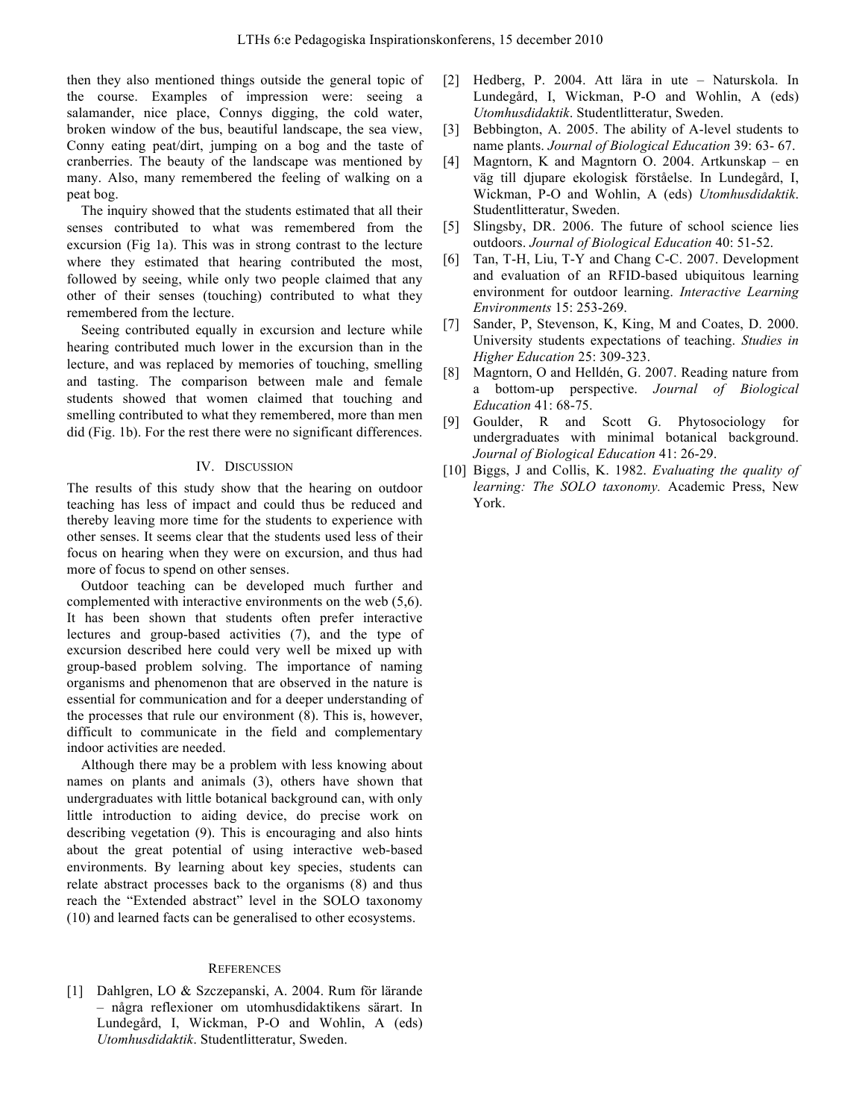then they also mentioned things outside the general topic of the course. Examples of impression were: seeing a salamander, nice place, Connys digging, the cold water, broken window of the bus, beautiful landscape, the sea view, Conny eating peat/dirt, jumping on a bog and the taste of cranberries. The beauty of the landscape was mentioned by many. Also, many remembered the feeling of walking on a peat bog.

The inquiry showed that the students estimated that all their senses contributed to what was remembered from the excursion (Fig 1a). This was in strong contrast to the lecture where they estimated that hearing contributed the most, followed by seeing, while only two people claimed that any other of their senses (touching) contributed to what they remembered from the lecture.

Seeing contributed equally in excursion and lecture while hearing contributed much lower in the excursion than in the lecture, and was replaced by memories of touching, smelling and tasting. The comparison between male and female students showed that women claimed that touching and smelling contributed to what they remembered, more than men did (Fig. 1b). For the rest there were no significant differences.

#### IV. DISCUSSION

The results of this study show that the hearing on outdoor teaching has less of impact and could thus be reduced and thereby leaving more time for the students to experience with other senses. It seems clear that the students used less of their focus on hearing when they were on excursion, and thus had more of focus to spend on other senses.

Outdoor teaching can be developed much further and complemented with interactive environments on the web (5,6). It has been shown that students often prefer interactive lectures and group-based activities (7), and the type of excursion described here could very well be mixed up with group-based problem solving. The importance of naming organisms and phenomenon that are observed in the nature is essential for communication and for a deeper understanding of the processes that rule our environment (8). This is, however, difficult to communicate in the field and complementary indoor activities are needed.

Although there may be a problem with less knowing about names on plants and animals (3), others have shown that undergraduates with little botanical background can, with only little introduction to aiding device, do precise work on describing vegetation (9). This is encouraging and also hints about the great potential of using interactive web-based environments. By learning about key species, students can relate abstract processes back to the organisms (8) and thus reach the "Extended abstract" level in the SOLO taxonomy (10) and learned facts can be generalised to other ecosystems.

#### **REFERENCES**

[1] Dahlgren, LO & Szczepanski, A. 2004. Rum för lärande – några reflexioner om utomhusdidaktikens särart. In Lundegård, I, Wickman, P-O and Wohlin, A (eds) *Utomhusdidaktik*. Studentlitteratur, Sweden.

- [2] Hedberg, P. 2004. Att lära in ute Naturskola. In Lundegård, I, Wickman, P-O and Wohlin, A (eds) *Utomhusdidaktik*. Studentlitteratur, Sweden.
- [3] Bebbington, A. 2005. The ability of A-level students to name plants. *Journal of Biological Education* 39: 63- 67.
- [4] Magntorn, K and Magntorn O. 2004. Artkunskap en väg till djupare ekologisk förståelse. In Lundegård, I, Wickman, P-O and Wohlin, A (eds) *Utomhusdidaktik*. Studentlitteratur, Sweden.
- [5] Slingsby, DR. 2006. The future of school science lies outdoors. *Journal of Biological Education* 40: 51-52.
- [6] Tan, T-H, Liu, T-Y and Chang C-C. 2007. Development and evaluation of an RFID-based ubiquitous learning environment for outdoor learning. *Interactive Learning Environments* 15: 253-269.
- [7] Sander, P, Stevenson, K, King, M and Coates, D. 2000. University students expectations of teaching. *Studies in Higher Education* 25: 309-323.
- [8] Magntorn, O and Helldén, G. 2007. Reading nature from a bottom-up perspective. *Journal of Biological Education* 41: 68-75.
- [9] Goulder, R and Scott G. Phytosociology for undergraduates with minimal botanical background. *Journal of Biological Education* 41: 26-29.
- [10] Biggs, J and Collis, K. 1982. *Evaluating the quality of learning: The SOLO taxonomy.* Academic Press, New York.